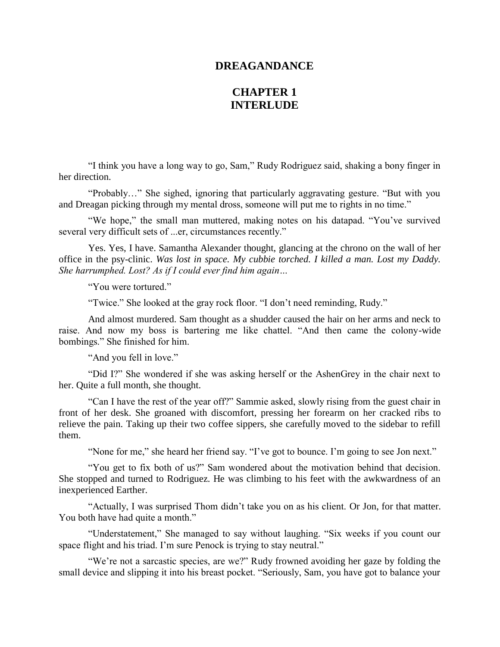## **DREAGANDANCE**

## **CHAPTER 1 INTERLUDE**

"I think you have a long way to go, Sam," Rudy Rodriguez said, shaking a bony finger in her direction.

"Probably…" She sighed, ignoring that particularly aggravating gesture. "But with you and Dreagan picking through my mental dross, someone will put me to rights in no time."

"We hope," the small man muttered, making notes on his datapad. "You've survived several very difficult sets of ...er, circumstances recently."

Yes. Yes, I have. Samantha Alexander thought, glancing at the chrono on the wall of her office in the psy-clinic. *Was lost in space. My cubbie torched. I killed a man. Lost my Daddy. She harrumphed. Lost? As if I could ever find him again…*

"You were tortured."

"Twice." She looked at the gray rock floor. "I don't need reminding, Rudy."

And almost murdered. Sam thought as a shudder caused the hair on her arms and neck to raise. And now my boss is bartering me like chattel. "And then came the colony-wide bombings." She finished for him.

"And you fell in love."

"Did I?" She wondered if she was asking herself or the AshenGrey in the chair next to her. Quite a full month, she thought.

"Can I have the rest of the year off?" Sammie asked, slowly rising from the guest chair in front of her desk. She groaned with discomfort, pressing her forearm on her cracked ribs to relieve the pain. Taking up their two coffee sippers, she carefully moved to the sidebar to refill them.

"None for me," she heard her friend say. "I've got to bounce. I'm going to see Jon next."

"You get to fix both of us?" Sam wondered about the motivation behind that decision. She stopped and turned to Rodriguez. He was climbing to his feet with the awkwardness of an inexperienced Earther.

"Actually, I was surprised Thom didn't take you on as his client. Or Jon, for that matter. You both have had quite a month."

"Understatement," She managed to say without laughing. "Six weeks if you count our space flight and his triad. I'm sure Penock is trying to stay neutral."

"We're not a sarcastic species, are we?" Rudy frowned avoiding her gaze by folding the small device and slipping it into his breast pocket. "Seriously, Sam, you have got to balance your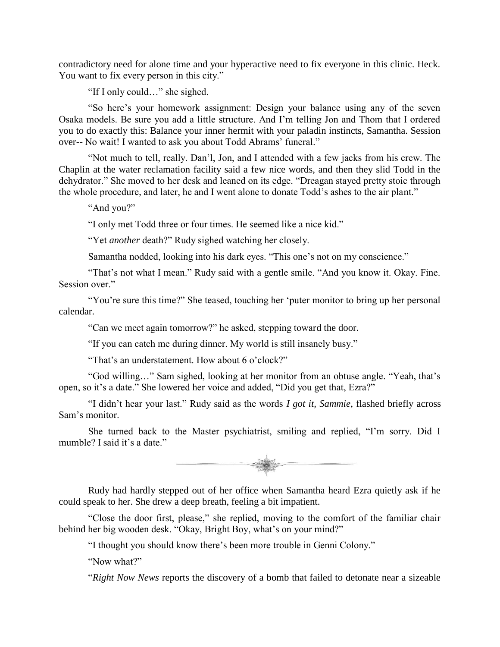contradictory need for alone time and your hyperactive need to fix everyone in this clinic. Heck. You want to fix every person in this city."

"If I only could…" she sighed.

"So here's your homework assignment: Design your balance using any of the seven Osaka models. Be sure you add a little structure. And I'm telling Jon and Thom that I ordered you to do exactly this: Balance your inner hermit with your paladin instincts, Samantha. Session over-- No wait! I wanted to ask you about Todd Abrams' funeral."

"Not much to tell, really. Dan'l, Jon, and I attended with a few jacks from his crew. The Chaplin at the water reclamation facility said a few nice words, and then they slid Todd in the dehydrator." She moved to her desk and leaned on its edge. "Dreagan stayed pretty stoic through the whole procedure, and later, he and I went alone to donate Todd's ashes to the air plant."

"And you?"

"I only met Todd three or four times. He seemed like a nice kid."

"Yet *another* death?" Rudy sighed watching her closely.

Samantha nodded, looking into his dark eyes. "This one's not on my conscience."

"That's not what I mean." Rudy said with a gentle smile. "And you know it. Okay. Fine. Session over."

"You're sure this time?" She teased, touching her 'puter monitor to bring up her personal calendar.

"Can we meet again tomorrow?" he asked, stepping toward the door.

"If you can catch me during dinner. My world is still insanely busy."

"That's an understatement. How about 6 o'clock?"

"God willing…" Sam sighed, looking at her monitor from an obtuse angle. "Yeah, that's open, so it's a date." She lowered her voice and added, "Did you get that, Ezra?"

"I didn't hear your last." Rudy said as the words *I got it, Sammie*, flashed briefly across Sam's monitor.

She turned back to the Master psychiatrist, smiling and replied, "I'm sorry. Did I mumble? I said it's a date."



Rudy had hardly stepped out of her office when Samantha heard Ezra quietly ask if he could speak to her. She drew a deep breath, feeling a bit impatient.

"Close the door first, please," she replied, moving to the comfort of the familiar chair behind her big wooden desk. "Okay, Bright Boy, what's on your mind?"

"I thought you should know there's been more trouble in Genni Colony."

"Now what?"

"*Right Now News* reports the discovery of a bomb that failed to detonate near a sizeable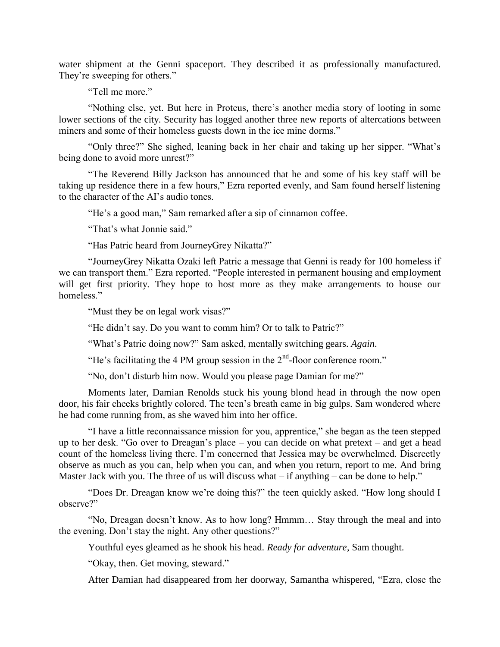water shipment at the Genni spaceport. They described it as professionally manufactured. They're sweeping for others."

"Tell me more."

"Nothing else, yet. But here in Proteus, there's another media story of looting in some lower sections of the city. Security has logged another three new reports of altercations between miners and some of their homeless guests down in the ice mine dorms."

"Only three?" She sighed, leaning back in her chair and taking up her sipper. "What's being done to avoid more unrest?"

"The Reverend Billy Jackson has announced that he and some of his key staff will be taking up residence there in a few hours," Ezra reported evenly, and Sam found herself listening to the character of the AI's audio tones.

"He's a good man," Sam remarked after a sip of cinnamon coffee.

"That's what Jonnie said."

"Has Patric heard from JourneyGrey Nikatta?"

"JourneyGrey Nikatta Ozaki left Patric a message that Genni is ready for 100 homeless if we can transport them." Ezra reported. "People interested in permanent housing and employment will get first priority. They hope to host more as they make arrangements to house our homeless."

"Must they be on legal work visas?"

"He didn't say. Do you want to comm him? Or to talk to Patric?"

"What's Patric doing now?" Sam asked, mentally switching gears. *Again*.

"He's facilitating the 4 PM group session in the  $2<sup>nd</sup>$ -floor conference room."

"No, don't disturb him now. Would you please page Damian for me?"

Moments later, Damian Renolds stuck his young blond head in through the now open door, his fair cheeks brightly colored. The teen's breath came in big gulps. Sam wondered where he had come running from, as she waved him into her office.

"I have a little reconnaissance mission for you, apprentice," she began as the teen stepped up to her desk. "Go over to Dreagan's place – you can decide on what pretext – and get a head count of the homeless living there. I'm concerned that Jessica may be overwhelmed. Discreetly observe as much as you can, help when you can, and when you return, report to me. And bring Master Jack with you. The three of us will discuss what  $-$  if anything  $-$  can be done to help."

"Does Dr. Dreagan know we're doing this?" the teen quickly asked. "How long should I observe?"

"No, Dreagan doesn't know. As to how long? Hmmm… Stay through the meal and into the evening. Don't stay the night. Any other questions?"

Youthful eyes gleamed as he shook his head. *Ready for adventure*, Sam thought.

"Okay, then. Get moving, steward."

After Damian had disappeared from her doorway, Samantha whispered, "Ezra, close the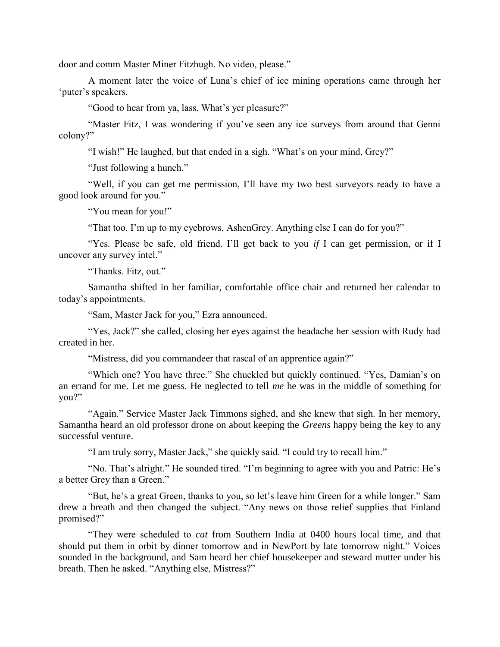door and comm Master Miner Fitzhugh. No video, please."

A moment later the voice of Luna's chief of ice mining operations came through her 'puter's speakers.

"Good to hear from ya, lass. What's yer pleasure?"

"Master Fitz, I was wondering if you've seen any ice surveys from around that Genni colony?"

"I wish!" He laughed, but that ended in a sigh. "What's on your mind, Grey?"

"Just following a hunch."

"Well, if you can get me permission, I'll have my two best surveyors ready to have a good look around for you."

"You mean for you!"

"That too. I'm up to my eyebrows, AshenGrey. Anything else I can do for you?"

"Yes. Please be safe, old friend. I'll get back to you *if* I can get permission, or if I uncover any survey intel."

"Thanks. Fitz, out."

Samantha shifted in her familiar, comfortable office chair and returned her calendar to today's appointments.

"Sam, Master Jack for you," Ezra announced.

"Yes, Jack?" she called, closing her eyes against the headache her session with Rudy had created in her.

"Mistress, did you commandeer that rascal of an apprentice again?"

"Which one? You have three." She chuckled but quickly continued. "Yes, Damian's on an errand for me. Let me guess. He neglected to tell *me* he was in the middle of something for you?"

"Again." Service Master Jack Timmons sighed, and she knew that sigh. In her memory, Samantha heard an old professor drone on about keeping the *Greens* happy being the key to any successful venture.

"I am truly sorry, Master Jack," she quickly said. "I could try to recall him."

"No. That's alright." He sounded tired. "I'm beginning to agree with you and Patric: He's a better Grey than a Green."

"But, he's a great Green, thanks to you, so let's leave him Green for a while longer." Sam drew a breath and then changed the subject. "Any news on those relief supplies that Finland promised?"

"They were scheduled to *cat* from Southern India at 0400 hours local time, and that should put them in orbit by dinner tomorrow and in NewPort by late tomorrow night." Voices sounded in the background, and Sam heard her chief housekeeper and steward mutter under his breath. Then he asked. "Anything else, Mistress?"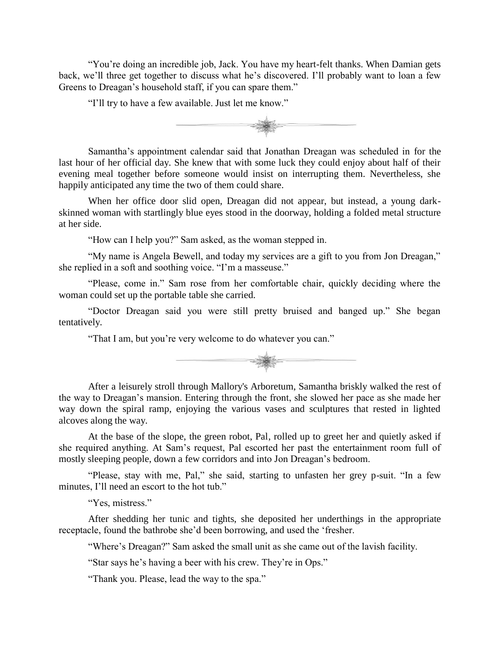"You're doing an incredible job, Jack. You have my heart-felt thanks. When Damian gets back, we'll three get together to discuss what he's discovered. I'll probably want to loan a few Greens to Dreagan's household staff, if you can spare them."

"I'll try to have a few available. Just let me know."



Samantha's appointment calendar said that Jonathan Dreagan was scheduled in for the last hour of her official day. She knew that with some luck they could enjoy about half of their evening meal together before someone would insist on interrupting them. Nevertheless, she happily anticipated any time the two of them could share.

When her office door slid open, Dreagan did not appear, but instead, a young darkskinned woman with startlingly blue eyes stood in the doorway, holding a folded metal structure at her side.

"How can I help you?" Sam asked, as the woman stepped in.

"My name is Angela Bewell, and today my services are a gift to you from Jon Dreagan," she replied in a soft and soothing voice. "I'm a masseuse."

"Please, come in." Sam rose from her comfortable chair, quickly deciding where the woman could set up the portable table she carried.

"Doctor Dreagan said you were still pretty bruised and banged up." She began tentatively.

"That I am, but you're very welcome to do whatever you can."



After a leisurely stroll through Mallory's Arboretum, Samantha briskly walked the rest of the way to Dreagan's mansion. Entering through the front, she slowed her pace as she made her way down the spiral ramp, enjoying the various vases and sculptures that rested in lighted alcoves along the way.

At the base of the slope, the green robot, Pal, rolled up to greet her and quietly asked if she required anything. At Sam's request, Pal escorted her past the entertainment room full of mostly sleeping people, down a few corridors and into Jon Dreagan's bedroom.

"Please, stay with me, Pal," she said, starting to unfasten her grey p-suit. "In a few minutes, I'll need an escort to the hot tub."

"Yes, mistress."

After shedding her tunic and tights, she deposited her underthings in the appropriate receptacle, found the bathrobe she'd been borrowing, and used the 'fresher.

"Where's Dreagan?" Sam asked the small unit as she came out of the lavish facility.

"Star says he's having a beer with his crew. They're in Ops."

"Thank you. Please, lead the way to the spa."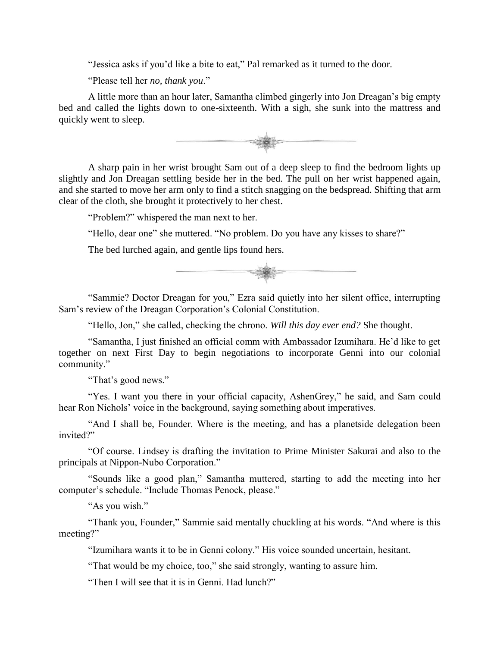"Jessica asks if you'd like a bite to eat," Pal remarked as it turned to the door.

"Please tell her *no, thank you*."

A little more than an hour later, Samantha climbed gingerly into Jon Dreagan's big empty bed and called the lights down to one-sixteenth. With a sigh, she sunk into the mattress and quickly went to sleep.



A sharp pain in her wrist brought Sam out of a deep sleep to find the bedroom lights up slightly and Jon Dreagan settling beside her in the bed. The pull on her wrist happened again, and she started to move her arm only to find a stitch snagging on the bedspread. Shifting that arm clear of the cloth, she brought it protectively to her chest.

"Problem?" whispered the man next to her.

"Hello, dear one" she muttered. "No problem. Do you have any kisses to share?"

The bed lurched again, and gentle lips found hers.



"Sammie? Doctor Dreagan for you," Ezra said quietly into her silent office, interrupting Sam's review of the Dreagan Corporation's Colonial Constitution.

"Hello, Jon," she called, checking the chrono. *Will this day ever end?* She thought.

"Samantha, I just finished an official comm with Ambassador Izumihara. He'd like to get together on next First Day to begin negotiations to incorporate Genni into our colonial community."

"That's good news."

"Yes. I want you there in your official capacity, AshenGrey," he said, and Sam could hear Ron Nichols' voice in the background, saying something about imperatives.

"And I shall be, Founder. Where is the meeting, and has a planetside delegation been invited?"

"Of course. Lindsey is drafting the invitation to Prime Minister Sakurai and also to the principals at Nippon-Nubo Corporation."

"Sounds like a good plan," Samantha muttered, starting to add the meeting into her computer's schedule. "Include Thomas Penock, please."

"As you wish."

"Thank you, Founder," Sammie said mentally chuckling at his words. "And where is this meeting?"

"Izumihara wants it to be in Genni colony." His voice sounded uncertain, hesitant.

"That would be my choice, too," she said strongly, wanting to assure him.

"Then I will see that it is in Genni. Had lunch?"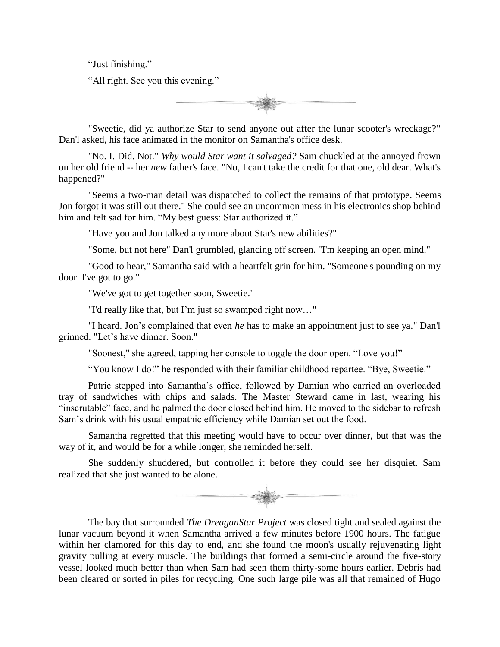"Just finishing."

"All right. See you this evening."



"Sweetie, did ya authorize Star to send anyone out after the lunar scooter's wreckage?" Dan'l asked, his face animated in the monitor on Samantha's office desk.

"No. I. Did. Not." *Why would Star want it salvaged?* Sam chuckled at the annoyed frown on her old friend -- her *new* father's face. "No, I can't take the credit for that one, old dear. What's happened?"

"Seems a two-man detail was dispatched to collect the remains of that prototype. Seems Jon forgot it was still out there." She could see an uncommon mess in his electronics shop behind him and felt sad for him. "My best guess: Star authorized it."

"Have you and Jon talked any more about Star's new abilities?"

"Some, but not here" Dan'l grumbled, glancing off screen. "I'm keeping an open mind."

"Good to hear," Samantha said with a heartfelt grin for him. "Someone's pounding on my door. I've got to go."

"We've got to get together soon, Sweetie."

"I'd really like that, but I'm just so swamped right now…"

"I heard. Jon's complained that even *he* has to make an appointment just to see ya." Dan'l grinned. "Let's have dinner. Soon."

"Soonest," she agreed, tapping her console to toggle the door open. "Love you!"

"You know I do!" he responded with their familiar childhood repartee. "Bye, Sweetie."

Patric stepped into Samantha's office, followed by Damian who carried an overloaded tray of sandwiches with chips and salads. The Master Steward came in last, wearing his "inscrutable" face, and he palmed the door closed behind him. He moved to the sidebar to refresh Sam's drink with his usual empathic efficiency while Damian set out the food.

Samantha regretted that this meeting would have to occur over dinner, but that was the way of it, and would be for a while longer, she reminded herself.

She suddenly shuddered, but controlled it before they could see her disquiet. Sam realized that she just wanted to be alone.



The bay that surrounded *The DreaganStar Project* was closed tight and sealed against the lunar vacuum beyond it when Samantha arrived a few minutes before 1900 hours. The fatigue within her clamored for this day to end, and she found the moon's usually rejuvenating light gravity pulling at every muscle. The buildings that formed a semi-circle around the five-story vessel looked much better than when Sam had seen them thirty-some hours earlier. Debris had been cleared or sorted in piles for recycling. One such large pile was all that remained of Hugo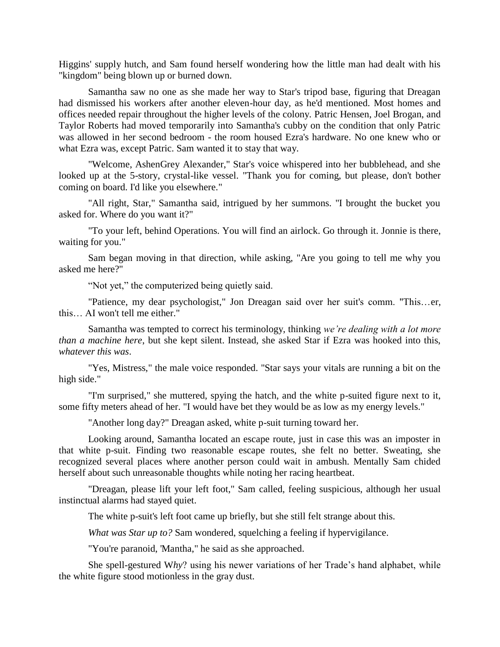Higgins' supply hutch, and Sam found herself wondering how the little man had dealt with his "kingdom" being blown up or burned down.

Samantha saw no one as she made her way to Star's tripod base, figuring that Dreagan had dismissed his workers after another eleven-hour day, as he'd mentioned. Most homes and offices needed repair throughout the higher levels of the colony. Patric Hensen, Joel Brogan, and Taylor Roberts had moved temporarily into Samantha's cubby on the condition that only Patric was allowed in her second bedroom - the room housed Ezra's hardware. No one knew who or what Ezra was, except Patric. Sam wanted it to stay that way.

"Welcome, AshenGrey Alexander," Star's voice whispered into her bubblehead, and she looked up at the 5-story, crystal-like vessel. "Thank you for coming, but please, don't bother coming on board. I'd like you elsewhere."

"All right, Star," Samantha said, intrigued by her summons. "I brought the bucket you asked for. Where do you want it?"

"To your left, behind Operations. You will find an airlock. Go through it. Jonnie is there, waiting for you."

Sam began moving in that direction, while asking, "Are you going to tell me why you asked me here?"

"Not yet," the computerized being quietly said.

"Patience, my dear psychologist," Jon Dreagan said over her suit's comm. "This…er, this… AI won't tell me either."

Samantha was tempted to correct his terminology, thinking *we're dealing with a lot more than a machine here*, but she kept silent. Instead, she asked Star if Ezra was hooked into this, *whatever this was*.

"Yes, Mistress," the male voice responded. "Star says your vitals are running a bit on the high side."

"I'm surprised," she muttered, spying the hatch, and the white p-suited figure next to it, some fifty meters ahead of her. "I would have bet they would be as low as my energy levels."

"Another long day?" Dreagan asked, white p-suit turning toward her.

Looking around, Samantha located an escape route, just in case this was an imposter in that white p-suit. Finding two reasonable escape routes, she felt no better. Sweating, she recognized several places where another person could wait in ambush. Mentally Sam chided herself about such unreasonable thoughts while noting her racing heartbeat.

"Dreagan, please lift your left foot," Sam called, feeling suspicious, although her usual instinctual alarms had stayed quiet.

The white p-suit's left foot came up briefly, but she still felt strange about this.

*What was Star up to?* Sam wondered, squelching a feeling if hypervigilance.

"You're paranoid, 'Mantha," he said as she approached.

She spell-gestured W*hy*? using his newer variations of her Trade's hand alphabet, while the white figure stood motionless in the gray dust.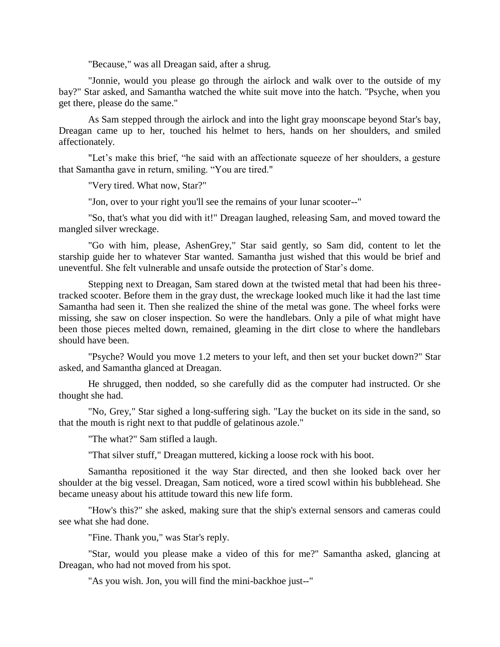"Because," was all Dreagan said, after a shrug.

"Jonnie, would you please go through the airlock and walk over to the outside of my bay?" Star asked, and Samantha watched the white suit move into the hatch. "Psyche, when you get there, please do the same."

As Sam stepped through the airlock and into the light gray moonscape beyond Star's bay, Dreagan came up to her, touched his helmet to hers, hands on her shoulders, and smiled affectionately.

"Let's make this brief, "he said with an affectionate squeeze of her shoulders, a gesture that Samantha gave in return, smiling. "You are tired."

"Very tired. What now, Star?"

"Jon, over to your right you'll see the remains of your lunar scooter--"

"So, that's what you did with it!" Dreagan laughed, releasing Sam, and moved toward the mangled silver wreckage.

"Go with him, please, AshenGrey," Star said gently, so Sam did, content to let the starship guide her to whatever Star wanted. Samantha just wished that this would be brief and uneventful. She felt vulnerable and unsafe outside the protection of Star's dome.

Stepping next to Dreagan, Sam stared down at the twisted metal that had been his threetracked scooter. Before them in the gray dust, the wreckage looked much like it had the last time Samantha had seen it. Then she realized the shine of the metal was gone. The wheel forks were missing, she saw on closer inspection. So were the handlebars. Only a pile of what might have been those pieces melted down, remained, gleaming in the dirt close to where the handlebars should have been.

"Psyche? Would you move 1.2 meters to your left, and then set your bucket down?" Star asked, and Samantha glanced at Dreagan.

He shrugged, then nodded, so she carefully did as the computer had instructed. Or she thought she had.

"No, Grey," Star sighed a long-suffering sigh. "Lay the bucket on its side in the sand, so that the mouth is right next to that puddle of gelatinous azole."

"The what?" Sam stifled a laugh.

"That silver stuff," Dreagan muttered, kicking a loose rock with his boot.

Samantha repositioned it the way Star directed, and then she looked back over her shoulder at the big vessel. Dreagan, Sam noticed, wore a tired scowl within his bubblehead. She became uneasy about his attitude toward this new life form.

"How's this?" she asked, making sure that the ship's external sensors and cameras could see what she had done.

"Fine. Thank you," was Star's reply.

"Star, would you please make a video of this for me?" Samantha asked, glancing at Dreagan, who had not moved from his spot.

"As you wish. Jon, you will find the mini-backhoe just--"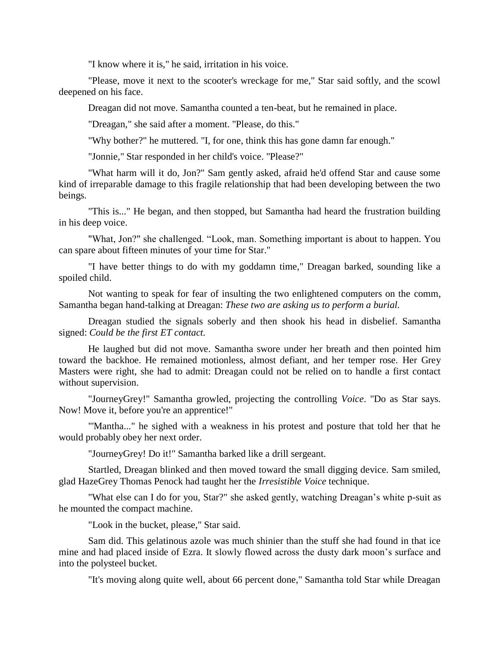"I know where it is," he said, irritation in his voice.

"Please, move it next to the scooter's wreckage for me," Star said softly, and the scowl deepened on his face.

Dreagan did not move. Samantha counted a ten-beat, but he remained in place.

"Dreagan," she said after a moment. "Please, do this."

"Why bother?" he muttered. "I, for one, think this has gone damn far enough."

"Jonnie," Star responded in her child's voice. "Please?"

"What harm will it do, Jon?" Sam gently asked, afraid he'd offend Star and cause some kind of irreparable damage to this fragile relationship that had been developing between the two beings.

"This is..." He began, and then stopped, but Samantha had heard the frustration building in his deep voice.

"What, Jon?" she challenged. "Look, man. Something important is about to happen. You can spare about fifteen minutes of your time for Star."

"I have better things to do with my goddamn time," Dreagan barked, sounding like a spoiled child.

Not wanting to speak for fear of insulting the two enlightened computers on the comm, Samantha began hand-talking at Dreagan: *These two are asking us to perform a burial.*

Dreagan studied the signals soberly and then shook his head in disbelief. Samantha signed: *Could be the first ET contact.*

He laughed but did not move. Samantha swore under her breath and then pointed him toward the backhoe. He remained motionless, almost defiant, and her temper rose. Her Grey Masters were right, she had to admit: Dreagan could not be relied on to handle a first contact without supervision.

"JourneyGrey!" Samantha growled, projecting the controlling *Voice*. "Do as Star says. Now! Move it, before you're an apprentice!"

"'Mantha..." he sighed with a weakness in his protest and posture that told her that he would probably obey her next order.

"JourneyGrey! Do it!" Samantha barked like a drill sergeant.

Startled, Dreagan blinked and then moved toward the small digging device. Sam smiled, glad HazeGrey Thomas Penock had taught her the *Irresistible Voice* technique.

"What else can I do for you, Star?" she asked gently, watching Dreagan's white p-suit as he mounted the compact machine.

"Look in the bucket, please," Star said.

Sam did. This gelatinous azole was much shinier than the stuff she had found in that ice mine and had placed inside of Ezra. It slowly flowed across the dusty dark moon's surface and into the polysteel bucket.

"It's moving along quite well, about 66 percent done," Samantha told Star while Dreagan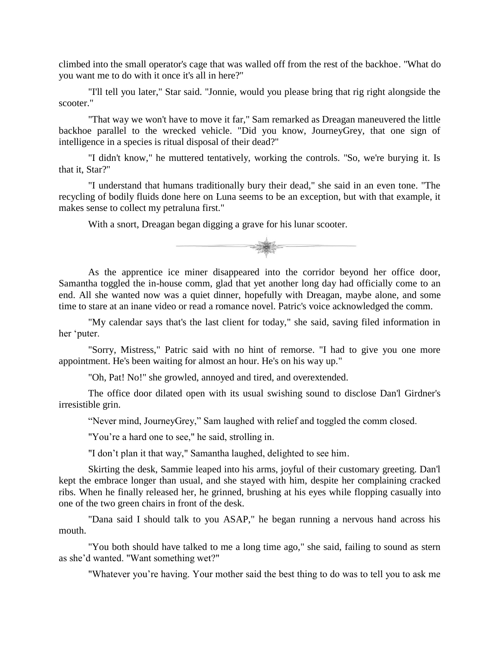climbed into the small operator's cage that was walled off from the rest of the backhoe. "What do you want me to do with it once it's all in here?"

"I'll tell you later," Star said. "Jonnie, would you please bring that rig right alongside the scooter."

"That way we won't have to move it far," Sam remarked as Dreagan maneuvered the little backhoe parallel to the wrecked vehicle. "Did you know, JourneyGrey, that one sign of intelligence in a species is ritual disposal of their dead?"

"I didn't know," he muttered tentatively, working the controls. "So, we're burying it. Is that it, Star?"

"I understand that humans traditionally bury their dead," she said in an even tone. "The recycling of bodily fluids done here on Luna seems to be an exception, but with that example, it makes sense to collect my petraluna first."

With a snort, Dreagan began digging a grave for his lunar scooter.



As the apprentice ice miner disappeared into the corridor beyond her office door, Samantha toggled the in-house comm, glad that yet another long day had officially come to an end. All she wanted now was a quiet dinner, hopefully with Dreagan, maybe alone, and some time to stare at an inane video or read a romance novel. Patric's voice acknowledged the comm.

"My calendar says that's the last client for today," she said, saving filed information in her 'puter.

"Sorry, Mistress," Patric said with no hint of remorse. "I had to give you one more appointment. He's been waiting for almost an hour. He's on his way up."

"Oh, Pat! No!" she growled, annoyed and tired, and overextended.

The office door dilated open with its usual swishing sound to disclose Dan'l Girdner's irresistible grin.

"Never mind, JourneyGrey," Sam laughed with relief and toggled the comm closed.

"You're a hard one to see," he said, strolling in.

"I don't plan it that way," Samantha laughed, delighted to see him.

Skirting the desk, Sammie leaped into his arms, joyful of their customary greeting. Dan'l kept the embrace longer than usual, and she stayed with him, despite her complaining cracked ribs. When he finally released her, he grinned, brushing at his eyes while flopping casually into one of the two green chairs in front of the desk.

"Dana said I should talk to you ASAP," he began running a nervous hand across his mouth.

"You both should have talked to me a long time ago," she said, failing to sound as stern as she'd wanted. "Want something wet?"

"Whatever you're having. Your mother said the best thing to do was to tell you to ask me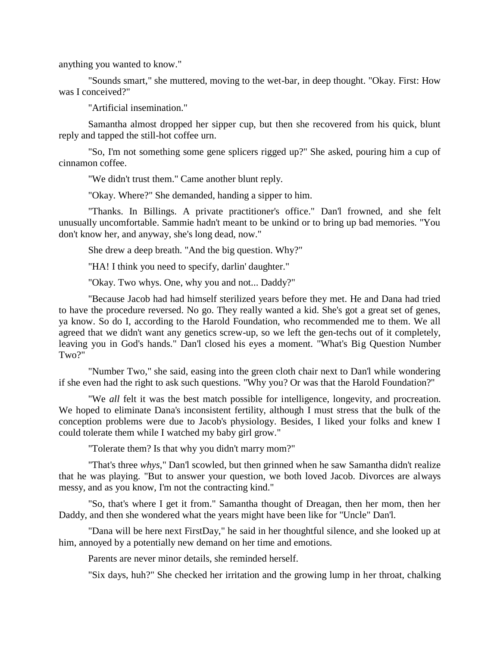anything you wanted to know."

"Sounds smart," she muttered, moving to the wet-bar, in deep thought. "Okay. First: How was I conceived?"

"Artificial insemination."

Samantha almost dropped her sipper cup, but then she recovered from his quick, blunt reply and tapped the still-hot coffee urn.

"So, I'm not something some gene splicers rigged up?" She asked, pouring him a cup of cinnamon coffee.

"We didn't trust them." Came another blunt reply.

"Okay. Where?" She demanded, handing a sipper to him.

"Thanks. In Billings. A private practitioner's office." Dan'l frowned, and she felt unusually uncomfortable. Sammie hadn't meant to be unkind or to bring up bad memories. "You don't know her, and anyway, she's long dead, now."

She drew a deep breath. "And the big question. Why?"

"HA! I think you need to specify, darlin' daughter."

"Okay. Two whys. One, why you and not... Daddy?"

"Because Jacob had had himself sterilized years before they met. He and Dana had tried to have the procedure reversed. No go. They really wanted a kid. She's got a great set of genes, ya know. So do I, according to the Harold Foundation, who recommended me to them. We all agreed that we didn't want any genetics screw-up, so we left the gen-techs out of it completely, leaving you in God's hands." Dan'l closed his eyes a moment. "What's Big Question Number Two?"

"Number Two," she said, easing into the green cloth chair next to Dan'l while wondering if she even had the right to ask such questions. "Why you? Or was that the Harold Foundation?"

"We *all* felt it was the best match possible for intelligence, longevity, and procreation. We hoped to eliminate Dana's inconsistent fertility, although I must stress that the bulk of the conception problems were due to Jacob's physiology. Besides, I liked your folks and knew I could tolerate them while I watched my baby girl grow."

"Tolerate them? Is that why you didn't marry mom?"

"That's three *whys*," Dan'l scowled, but then grinned when he saw Samantha didn't realize that he was playing. "But to answer your question, we both loved Jacob. Divorces are always messy, and as you know, I'm not the contracting kind."

"So, that's where I get it from." Samantha thought of Dreagan, then her mom, then her Daddy, and then she wondered what the years might have been like for "Uncle" Dan'l.

"Dana will be here next FirstDay," he said in her thoughtful silence, and she looked up at him, annoyed by a potentially new demand on her time and emotions.

Parents are never minor details, she reminded herself.

"Six days, huh?" She checked her irritation and the growing lump in her throat, chalking